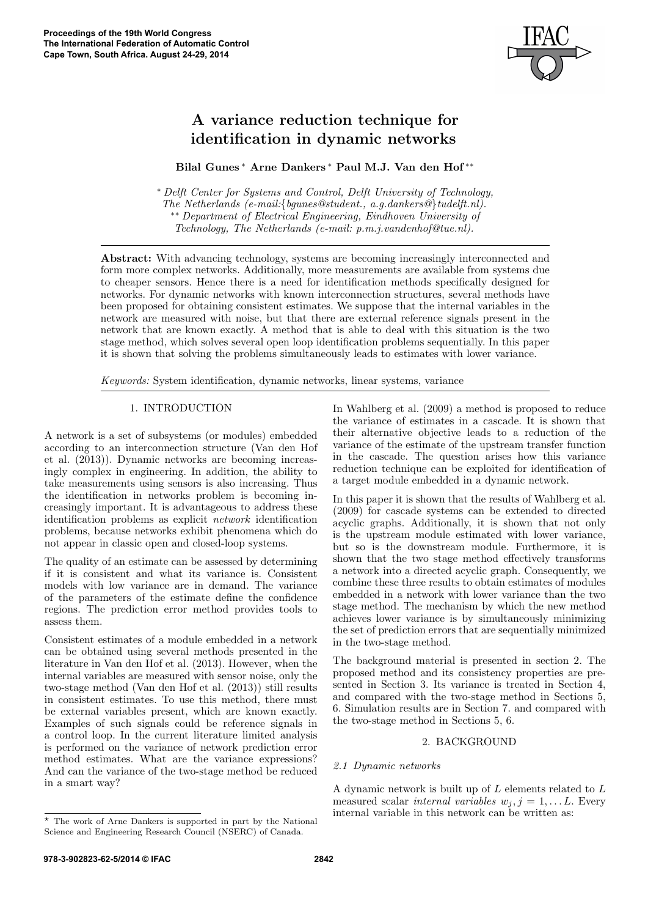

# A variance reduction technique for identification in dynamic networks

## Bilal Gunes <sup>∗</sup> Arne Dankers <sup>∗</sup> Paul M.J. Van den Hof ∗∗

<sup>∗</sup> Delft Center for Systems and Control, Delft University of Technology, The Netherlands (e-mail:{bgunes@student., a.g.dankers@}tudelft.nl). ∗∗ Department of Electrical Engineering, Eindhoven University of Technology, The Netherlands (e-mail: p.m.j.vandenhof@tue.nl).

Abstract: With advancing technology, systems are becoming increasingly interconnected and form more complex networks. Additionally, more measurements are available from systems due to cheaper sensors. Hence there is a need for identification methods specifically designed for networks. For dynamic networks with known interconnection structures, several methods have been proposed for obtaining consistent estimates. We suppose that the internal variables in the network are measured with noise, but that there are external reference signals present in the network that are known exactly. A method that is able to deal with this situation is the two stage method, which solves several open loop identification problems sequentially. In this paper it is shown that solving the problems simultaneously leads to estimates with lower variance.

Keywords: System identification, dynamic networks, linear systems, variance

#### 1. INTRODUCTION

A network is a set of subsystems (or modules) embedded according to an interconnection structure (Van den Hof et al. (2013)). Dynamic networks are becoming increasingly complex in engineering. In addition, the ability to take measurements using sensors is also increasing. Thus the identification in networks problem is becoming increasingly important. It is advantageous to address these identification problems as explicit network identification problems, because networks exhibit phenomena which do not appear in classic open and closed-loop systems.

The quality of an estimate can be assessed by determining if it is consistent and what its variance is. Consistent models with low variance are in demand. The variance of the parameters of the estimate define the confidence regions. The prediction error method provides tools to assess them.

Consistent estimates of a module embedded in a network can be obtained using several methods presented in the literature in Van den Hof et al. (2013). However, when the internal variables are measured with sensor noise, only the two-stage method (Van den Hof et al. (2013)) still results in consistent estimates. To use this method, there must be external variables present, which are known exactly. Examples of such signals could be reference signals in a control loop. In the current literature limited analysis is performed on the variance of network prediction error method estimates. What are the variance expressions? And can the variance of the two-stage method be reduced in a smart way?

In Wahlberg et al. (2009) a method is proposed to reduce the variance of estimates in a cascade. It is shown that their alternative objective leads to a reduction of the variance of the estimate of the upstream transfer function in the cascade. The question arises how this variance reduction technique can be exploited for identification of a target module embedded in a dynamic network.

In this paper it is shown that the results of Wahlberg et al. (2009) for cascade systems can be extended to directed acyclic graphs. Additionally, it is shown that not only is the upstream module estimated with lower variance, but so is the downstream module. Furthermore, it is shown that the two stage method effectively transforms a network into a directed acyclic graph. Consequently, we combine these three results to obtain estimates of modules embedded in a network with lower variance than the two stage method. The mechanism by which the new method achieves lower variance is by simultaneously minimizing the set of prediction errors that are sequentially minimized in the two-stage method.

The background material is presented in section 2. The proposed method and its consistency properties are presented in Section 3. Its variance is treated in Section 4, and compared with the two-stage method in Sections 5, 6. Simulation results are in Section 7. and compared with the two-stage method in Sections 5, 6.

# 2. BACKGROUND

# 2.1 Dynamic networks

A dynamic network is built up of L elements related to L measured scalar *internal variables*  $w_j$ ,  $j = 1, \ldots L$ . Every internal variable in this network can be written as:

 $\star$  The work of Arne Dankers is supported in part by the National Science and Engineering Research Council (NSERC) of Canada.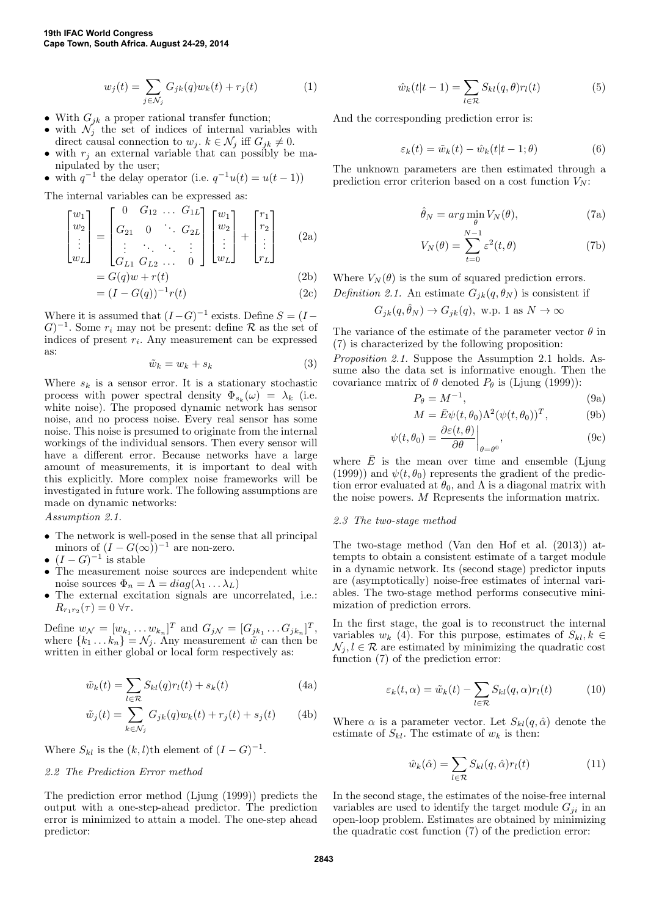$$
w_j(t) = \sum_{j \in \mathcal{N}_j} G_{jk}(q) w_k(t) + r_j(t)
$$
\n<sup>(1)</sup>

- With  $G_{jk}$  a proper rational transfer function;
- with  $\mathcal{N}_j$  the set of indices of internal variables with direct causal connection to  $w_j$ .  $k \in \mathcal{N}_j$  iff  $G_{jk} \neq 0$ .
- with  $r_j$  an external variable that can possibly be manipulated by the user;

• with 
$$
q^{-1}
$$
 the delay operator (i.e.  $q^{-1}u(t) = u(t-1)$ )

The internal variables can be expressed as:

$$
\begin{bmatrix} w_1 \\ w_2 \\ \vdots \\ w_L \end{bmatrix} = \begin{bmatrix} 0 & G_{12} & \dots & G_{1L} \\ G_{21} & 0 & \ddots & G_{2L} \\ \vdots & \ddots & \ddots & \vdots \\ G_{L1} & G_{L2} & \dots & 0 \end{bmatrix} \begin{bmatrix} w_1 \\ w_2 \\ \vdots \\ w_L \end{bmatrix} + \begin{bmatrix} r_1 \\ r_2 \\ \vdots \\ r_L \end{bmatrix} \tag{2a}
$$

$$
= G(q)w + r(t) \tag{2b}
$$

$$
= (I - G(q))^{-1} r(t)
$$
 (2c)

Where it is assumed that  $(I-G)^{-1}$  exists. Define  $S = (I (G)^{-1}$ . Some  $r_i$  may not be present: define R as the set of indices of present  $r_i$ . Any measurement can be expressed as:

$$
\tilde{w}_k = w_k + s_k \tag{3}
$$

Where  $s_k$  is a sensor error. It is a stationary stochastic process with power spectral density  $\Phi_{s_k}(\omega) = \lambda_k$  (i.e. white noise). The proposed dynamic network has sensor noise, and no process noise. Every real sensor has some noise. This noise is presumed to originate from the internal workings of the individual sensors. Then every sensor will have a different error. Because networks have a large amount of measurements, it is important to deal with this explicitly. More complex noise frameworks will be investigated in future work. The following assumptions are made on dynamic networks:

Assumption 2.1.

- The network is well-posed in the sense that all principal minors of  $(I - G(\infty))^{-1}$  are non-zero.
- $(I G)^{-1}$  is stable
- The measurement noise sources are independent white noise sources  $\Phi_n = \Lambda = diag(\lambda_1 \dots \lambda_L)$
- The external excitation signals are uncorrelated, i.e.:  $R_{r_1r_2}(\tau) = 0 \,\forall \tau.$

Define  $w_{\mathcal{N}} = [w_{k_1} \dots w_{k_n}]^T$  and  $G_{j\mathcal{N}} = [G_{jk_1} \dots G_{jk_n}]^T$ , where  $\{k_1 \dots k_n\} = \mathcal{N}_j$ . Any measurement  $\tilde{w}$  can then be written in either global or local form respectively as:

$$
\tilde{w}_k(t) = \sum_{l \in \mathcal{R}} S_{kl}(q)r_l(t) + s_k(t)
$$
\n(4a)

$$
\tilde{w}_j(t) = \sum_{k \in \mathcal{N}_j} G_{jk}(q) w_k(t) + r_j(t) + s_j(t) \tag{4b}
$$

Where  $S_{kl}$  is the  $(k, l)$ th element of  $(I - G)^{-1}$ .

# 2.2 The Prediction Error method

The prediction error method (Ljung (1999)) predicts the output with a one-step-ahead predictor. The prediction error is minimized to attain a model. The one-step ahead predictor:

$$
\hat{w}_k(t|t-1) = \sum_{l \in \mathcal{R}} S_{kl}(q, \theta) r_l(t) \tag{5}
$$

And the corresponding prediction error is:

$$
\varepsilon_k(t) = \tilde{w}_k(t) - \hat{w}_k(t|t-1;\theta)
$$
\n(6)

The unknown parameters are then estimated through a prediction error criterion based on a cost function  $V_N$ :

$$
\hat{\theta}_N = \arg\min_{\theta} V_N(\theta),\tag{7a}
$$

$$
V_N(\theta) = \sum_{t=0}^{N-1} \varepsilon^2(t, \theta)
$$
 (7b)

Where  $V_N(\theta)$  is the sum of squared prediction errors. Definition 2.1. An estimate  $G_{ik}(q, \theta_N)$  is consistent if

$$
G_{jk}(q, \hat{\theta}_N) \to G_{jk}(q)
$$
, w.p. 1 as  $N \to \infty$ 

The variance of the estimate of the parameter vector  $\theta$  in (7) is characterized by the following proposition:

Proposition 2.1. Suppose the Assumption 2.1 holds. Assume also the data set is informative enough. Then the covariance matrix of  $\theta$  denoted  $P_{\theta}$  is (Ljung (1999)):

$$
P_{\theta} = M^{-1},\tag{9a}
$$

$$
M = \bar{E}\psi(t,\theta_0)\Lambda^2(\psi(t,\theta_0))^T, \tag{9b}
$$

$$
\psi(t,\theta_0) = \frac{\partial \varepsilon(t,\theta)}{\partial \theta}\bigg|_{\theta=\theta^0},\tag{9c}
$$

where  $\overline{E}$  is the mean over time and ensemble (Ljung (1999)) and  $\psi(t, \theta_0)$  represents the gradient of the prediction error evaluated at  $\theta_0$ , and  $\Lambda$  is a diagonal matrix with the noise powers. M Represents the information matrix.

#### 2.3 The two-stage method

The two-stage method (Van den Hof et al. (2013)) attempts to obtain a consistent estimate of a target module in a dynamic network. Its (second stage) predictor inputs are (asymptotically) noise-free estimates of internal variables. The two-stage method performs consecutive minimization of prediction errors.

In the first stage, the goal is to reconstruct the internal variables  $w_k$  (4). For this purpose, estimates of  $S_{kl}, k \in$  $\mathcal{N}_i, l \in \mathcal{R}$  are estimated by minimizing the quadratic cost function (7) of the prediction error:

$$
\varepsilon_k(t,\alpha) = \tilde{w}_k(t) - \sum_{l \in \mathcal{R}} S_{kl}(q,\alpha) r_l(t) \tag{10}
$$

Where  $\alpha$  is a parameter vector. Let  $S_{kl}(q, \hat{\alpha})$  denote the estimate of  $S_{kl}$ . The estimate of  $w_k$  is then:

$$
\hat{w}_k(\hat{\alpha}) = \sum_{l \in \mathcal{R}} S_{kl}(q, \hat{\alpha}) r_l(t) \tag{11}
$$

In the second stage, the estimates of the noise-free internal variables are used to identify the target module  $G_{ii}$  in an open-loop problem. Estimates are obtained by minimizing the quadratic cost function (7) of the prediction error: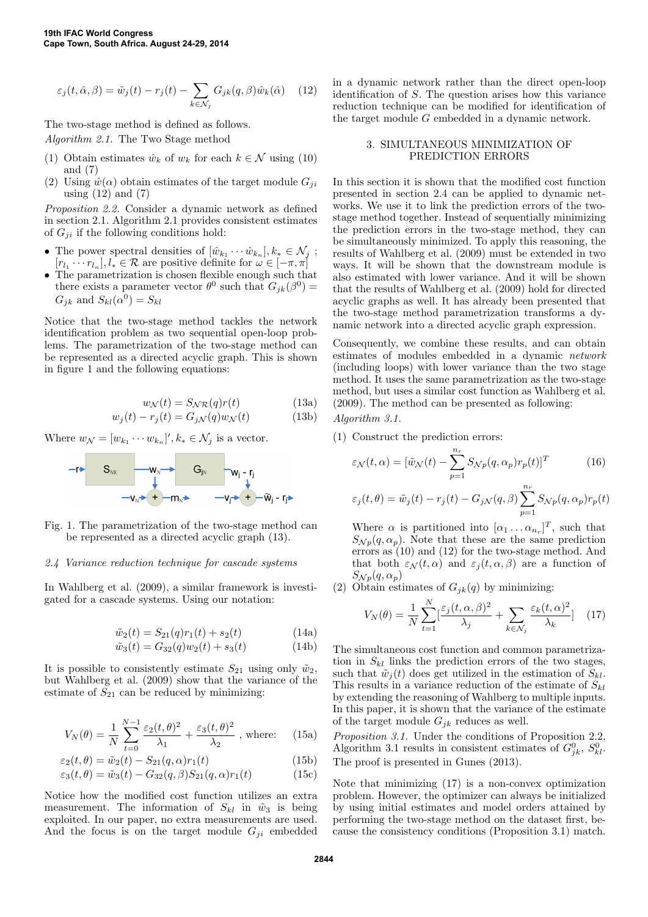$$
\varepsilon_j(t, \hat{\alpha}, \beta) = \tilde{w}_j(t) - r_j(t) - \sum_{k \in \mathcal{N}_j} G_{jk}(q, \beta) \hat{w}_k(\hat{\alpha}) \quad (12)
$$

The two-stage method is defined as follows.

Algorithm 2.1. The Two Stage method

- (1) Obtain estimates  $\hat{w}_k$  of  $w_k$  for each  $k \in \mathcal{N}$  using (10) and (7)
- (2) Using  $\hat{w}(\alpha)$  obtain estimates of the target module  $G_{ji}$ using  $(12)$  and  $(7)$

Proposition 2.2. Consider a dynamic network as defined in section 2.1. Algorithm 2.1 provides consistent estimates of  $G_{ji}$  if the following conditions hold:

- The power spectral densities of  $[\hat{w}_{k_1} \cdots \hat{w}_{k_n}], k_* \in \mathcal{N}_j$ ;  $[r_{l_1} \cdots r_{l_n}], l_* \in \mathcal{R}$  are positive definite for  $\omega \in [-\pi, \pi]$
- The parametrization is chosen flexible enough such that there exists a parameter vector  $\theta^0$  such that  $G_{jk}(\beta^0)$  =  $G_{jk}$  and  $S_{kl}(\alpha^0) = S_{kl}$

Notice that the two-stage method tackles the network identification problem as two sequential open-loop problems. The parametrization of the two-stage method can be represented as a directed acyclic graph. This is shown in figure 1 and the following equations:

$$
w_N(t) = S_{N\mathcal{R}}(q)r(t)
$$
 (13a)

$$
w_j(t) - r_j(t) = G_{jN}(q)w_N(t)
$$
 (13b)

Where  $w_{\mathcal{N}} = [w_{k_1} \cdots w_{k_n}], k_* \in \mathcal{N}_j$  is a vector.



Fig. 1. The parametrization of the two-stage method can be represented as a directed acyclic graph (13).

#### 2.4 Variance reduction technique for cascade systems

In Wahlberg et al. (2009), a similar framework is investigated for a cascade systems. Using our notation:

$$
\tilde{w}_2(t) = S_{21}(q)r_1(t) + s_2(t)
$$
\n(14a)

$$
\tilde{w}_3(t) = G_{32}(q)w_2(t) + s_3(t) \tag{14b}
$$

It is possible to consistently estimate  $S_{21}$  using only  $\tilde{w}_2$ , but Wahlberg et al. (2009) show that the variance of the estimate of  $S_{21}$  can be reduced by minimizing:

$$
V_N(\theta) = \frac{1}{N} \sum_{t=0}^{N-1} \frac{\varepsilon_2(t,\theta)^2}{\lambda_1} + \frac{\varepsilon_3(t,\theta)^2}{\lambda_2} \text{ , where: } (15a)
$$

$$
\varepsilon_2(t,\theta) = \tilde{w}_2(t) - S_{21}(q,\alpha)r_1(t)
$$
\n
$$
\varepsilon_3(t,\theta) = \tilde{w}_3(t) - G_{32}(q,\beta)S_{21}(q,\alpha)r_1(t)
$$
\n(15c)

Notice how the modified cost function utilizes an extra measurement. The information of  $S_{kl}$  in  $\tilde{w}_3$  is being exploited. In our paper, no extra measurements are used. And the focus is on the target module  $G_{ji}$  embedded

in a dynamic network rather than the direct open-loop identification of S. The question arises how this variance reduction technique can be modified for identification of the target module G embedded in a dynamic network.

#### 3. SIMULTANEOUS MINIMIZATION OF PREDICTION ERRORS

In this section it is shown that the modified cost function presented in section 2.4 can be applied to dynamic networks. We use it to link the prediction errors of the twostage method together. Instead of sequentially minimizing the prediction errors in the two-stage method, they can be simultaneously minimized. To apply this reasoning, the results of Wahlberg et al. (2009) must be extended in two ways. It will be shown that the downstream module is also estimated with lower variance. And it will be shown that the results of Wahlberg et al. (2009) hold for directed acyclic graphs as well. It has already been presented that the two-stage method parametrization transforms a dynamic network into a directed acyclic graph expression.

Consequently, we combine these results, and can obtain estimates of modules embedded in a dynamic network (including loops) with lower variance than the two stage method. It uses the same parametrization as the two-stage method, but uses a similar cost function as Wahlberg et al. (2009). The method can be presented as following:

Algorithm 3.1.

(1) Construct the prediction errors:

$$
\varepsilon_{\mathcal{N}}(t,\alpha) = [\tilde{w}_{\mathcal{N}}(t) - \sum_{p=1}^{n_r} S_{\mathcal{N}p}(q,\alpha_p)r_p(t)]^T
$$
(16)

$$
\varepsilon_j(t,\theta) = \tilde{w}_j(t) - r_j(t) - G_j \mathcal{N}(q,\beta) \sum_{p=1}^{n_r} S_{\mathcal{N}p}(q,\alpha_p) r_p(t)
$$

Where  $\alpha$  is partitioned into  $[\alpha_1 \dots \alpha_{n_r}]^T$ , such that  $S_{\mathcal{N}p}(q,\alpha_p)$ . Note that these are the same prediction errors as (10) and (12) for the two-stage method. And that both  $\varepsilon_{\mathcal{N}}(t,\alpha)$  and  $\varepsilon_{j}(t,\alpha,\beta)$  are a function of  $S_{\mathcal{N}p}(q,\alpha_p)$ 

(2) Obtain estimates of  $G_{jk}(q)$  by minimizing:

$$
V_N(\theta) = \frac{1}{N} \sum_{t=1}^N \left[\frac{\varepsilon_j(t, \alpha, \beta)^2}{\lambda_j} + \sum_{k \in \mathcal{N}_j} \frac{\varepsilon_k(t, \alpha)^2}{\lambda_k}\right] \tag{17}
$$

The simultaneous cost function and common parametrization in  $S_{kl}$  links the prediction errors of the two stages, such that  $\tilde{w}_j(t)$  does get utilized in the estimation of  $S_{kl}$ . This results in a variance reduction of the estimate of  $S_{kl}$ by extending the reasoning of Wahlberg to multiple inputs. In this paper, it is shown that the variance of the estimate of the target module  $G_{ik}$  reduces as well.

Proposition 3.1. Under the conditions of Proposition 2.2, Algorithm 3.1 results in consistent estimates of  $G_{jk}^0$ ,  $S_{kl}^0$ . The proof is presented in Gunes (2013).

Note that minimizing (17) is a non-convex optimization problem. However, the optimizer can always be initialized by using initial estimates and model orders attained by performing the two-stage method on the dataset first, because the consistency conditions (Proposition 3.1) match.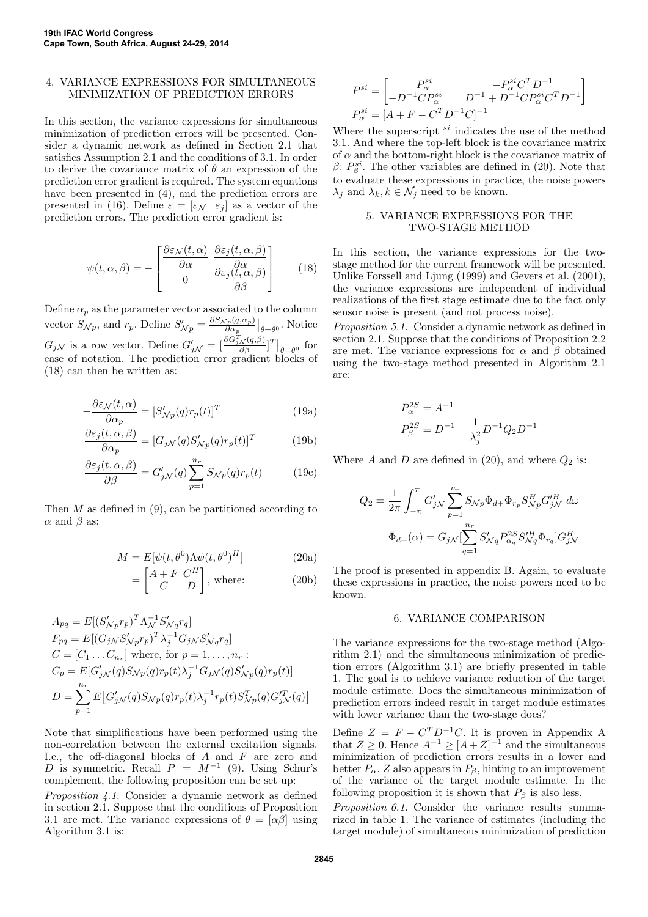#### 4. VARIANCE EXPRESSIONS FOR SIMULTANEOUS MINIMIZATION OF PREDICTION ERRORS

In this section, the variance expressions for simultaneous minimization of prediction errors will be presented. Consider a dynamic network as defined in Section 2.1 that satisfies Assumption 2.1 and the conditions of 3.1. In order to derive the covariance matrix of  $\theta$  an expression of the prediction error gradient is required. The system equations have been presented in (4), and the prediction errors are presented in (16). Define  $\varepsilon = [\varepsilon_{\mathcal{N}} \varepsilon_j]$  as a vector of the prediction errors. The prediction error gradient is:

$$
\psi(t,\alpha,\beta) = -\begin{bmatrix}\frac{\partial \varepsilon_{\mathcal{N}}(t,\alpha)}{\partial \alpha} & \frac{\partial \varepsilon_{j}(t,\alpha,\beta)}{\partial \alpha} \\ 0 & \frac{\partial \varepsilon_{j}(t,\alpha,\beta)}{\partial \beta}\end{bmatrix}
$$
(18)

Define  $\alpha_p$  as the parameter vector associated to the column vector  $S_{\mathcal{N}p}$ , and  $r_p$ . Define  $S'_{\mathcal{N}p} = \frac{\partial S_{\mathcal{N}p}(q,\alpha_p)}{\partial \alpha_p}$  $\frac{\partial \rho(\mathbf{q},\alpha_p)}{\partial \alpha_p}\big|_{\theta=\theta^0}$ . Notice  $G_{j\mathcal{N}}$  is a row vector. Define  $G'_{j\mathcal{N}} = \left[\frac{\partial G_{j\mathcal{N}}^T(q,\beta)}{\partial \beta}\right]^T \Big|_{\theta=\theta^0}$  for ease of notation. The prediction error gradient blocks of (18) can then be written as:

$$
-\frac{\partial \varepsilon_{\mathcal{N}}(t,\alpha)}{\partial \alpha_p} = [S'_{\mathcal{N}p}(q)r_p(t)]^T
$$
\n(19a)

$$
-\frac{\partial \varepsilon_j(t, \alpha, \beta)}{\partial \alpha_p} = [G_{jN}(q)S'_{Np}(q)r_p(t)]^T
$$
(19b)

$$
-\frac{\partial \varepsilon_j(t, \alpha, \beta)}{\partial \beta} = G'_{jN}(q) \sum_{p=1}^{n_r} S_{Np}(q) r_p(t)
$$
(19c)

Then  $M$  as defined in (9), can be partitioned according to  $\alpha$  and  $\beta$  as:

$$
M = E[\psi(t, \theta^0) \Lambda \psi(t, \theta^0)^H]
$$
 (20a)

$$
= \begin{bmatrix} A + F & C^H \\ C & D \end{bmatrix}, \text{ where:} \tag{20b}
$$

$$
A_{pq} = E[(S'_{Np}r_p)^T \Lambda_N^{-1} S'_{Nq}r_q]
$$
  
\n
$$
F_{pq} = E[(G_{jN}S'_{Np}r_p)^T \lambda_j^{-1} G_{jN} S'_{Nq}r_q]
$$
  
\n
$$
C = [C_1 ... C_{n_r}]
$$
 where, for  $p = 1,..., n_r$ :  
\n
$$
C_p = E[G'_{jN}(q)S_{Np}(q)r_p(t) \lambda_j^{-1} G_{jN}(q) S'_{Np}(q)r_p(t)]
$$
  
\n
$$
D = \sum_{p=1}^{n_r} E[G'_{jN}(q)S_{Np}(q)r_p(t) \lambda_j^{-1}r_p(t) S''_{Np}(q) G''_{jN}(q)]
$$

Note that simplifications have been performed using the non-correlation between the external excitation signals. I.e., the off-diagonal blocks of  $A$  and  $F$  are zero and D is symmetric. Recall  $P = M^{-1}$  (9). Using Schur's complement, the following proposition can be set up:

Proposition 4.1. Consider a dynamic network as defined in section 2.1. Suppose that the conditions of Proposition 3.1 are met. The variance expressions of  $\theta = [\alpha \beta]$  using Algorithm 3.1 is:

$$
P^{si} = \begin{bmatrix} P^{si}_{\alpha} & -P^{si}_{\alpha} C^{T} D^{-1} \\ -D^{-1} C P^{si}_{\alpha} & D^{-1} + D^{-1} C P^{si}_{\alpha} C^{T} D^{-1} \end{bmatrix}
$$
  

$$
P^{si}_{\alpha} = [A + F - C^{T} D^{-1} C]^{-1}
$$

Where the superscript  $s_i$  indicates the use of the method 3.1. And where the top-left block is the covariance matrix of  $\alpha$  and the bottom-right block is the covariance matrix of  $\beta$ :  $P^{si}_{\beta}$ . The other variables are defined in (20). Note that to evaluate these expressions in practice, the noise powers  $\lambda_j$  and  $\lambda_k, k \in \mathcal{N}_j$  need to be known.

#### 5. VARIANCE EXPRESSIONS FOR THE TWO-STAGE METHOD

In this section, the variance expressions for the twostage method for the current framework will be presented. Unlike Forssell and Ljung (1999) and Gevers et al. (2001), the variance expressions are independent of individual realizations of the first stage estimate due to the fact only sensor noise is present (and not process noise).

Proposition 5.1. Consider a dynamic network as defined in section 2.1. Suppose that the conditions of Proposition 2.2 are met. The variance expressions for  $\alpha$  and  $\beta$  obtained using the two-stage method presented in Algorithm 2.1 are:

$$
P_{\alpha}^{2S} = A^{-1}
$$
  

$$
P_{\beta}^{2S} = D^{-1} + \frac{1}{\lambda_j^2} D^{-1} Q_2 D^{-1}
$$

Where A and D are defined in (20), and where  $Q_2$  is:

$$
Q_2 = \frac{1}{2\pi} \int_{-\pi}^{\pi} G'_{jN} \sum_{p=1}^{n_r} S_{Np} \bar{\Phi}_{d+} \Phi_{r_p} S_{Np}^H G'_{jN}^H d\omega
$$

$$
\bar{\Phi}_{d+}(\alpha) = G_{jN} [\sum_{q=1}^{n_r} S'_{Nq} P_{\alpha_q}^{2S} S'^H_{Nq} \Phi_{r_q}] G^H_{jN}
$$

The proof is presented in appendix B. Again, to evaluate these expressions in practice, the noise powers need to be known.

#### 6. VARIANCE COMPARISON

The variance expressions for the two-stage method (Algorithm 2.1) and the simultaneous minimization of prediction errors (Algorithm 3.1) are briefly presented in table 1. The goal is to achieve variance reduction of the target module estimate. Does the simultaneous minimization of prediction errors indeed result in target module estimates with lower variance than the two-stage does?

Define  $Z = F - C^T D^{-1} C$ . It is proven in Appendix A that  $Z \geq 0$ . Hence  $A^{-1} \geq [A+Z]^{-1}$  and the simultaneous minimization of prediction errors results in a lower and better  $P_{\alpha}$ . Z also appears in  $P_{\beta}$ , hinting to an improvement of the variance of the target module estimate. In the following proposition it is shown that  $P_\beta$  is also less.

Proposition 6.1. Consider the variance results summarized in table 1. The variance of estimates (including the target module) of simultaneous minimization of prediction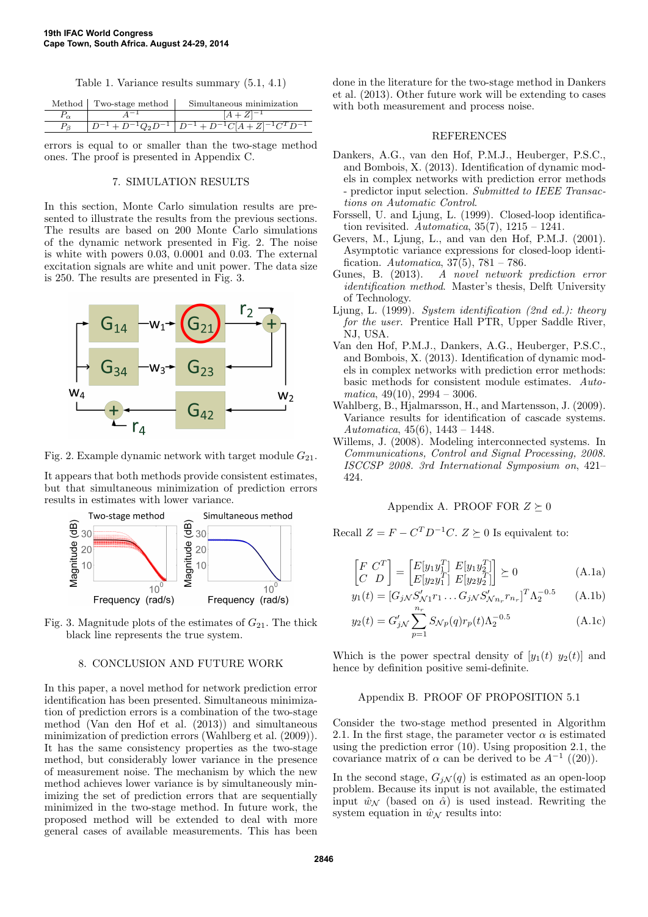Table 1. Variance results summary (5.1, 4.1)

| Method Two-stage method | Simultaneous minimization                                        |
|-------------------------|------------------------------------------------------------------|
|                         | $[A + Z]^{-1}$                                                   |
|                         | $D^{-1} + D^{-1}Q_2D^{-1}$ $D^{-1} + D^{-1}C[A+Z]^{-1}C^TD^{-1}$ |

errors is equal to or smaller than the two-stage method ones. The proof is presented in Appendix C.

### 7. SIMULATION RESULTS

In this section, Monte Carlo simulation results are presented to illustrate the results from the previous sections. The results are based on 200 Monte Carlo simulations of the dynamic network presented in Fig. 2. The noise is white with powers 0.03, 0.0001 and 0.03. The external excitation signals are white and unit power. The data size is 250. The results are presented in Fig. 3.



Fig. 2. Example dynamic network with target module  $G_{21}$ .

It appears that both methods provide consistent estimates, but that simultaneous minimization of prediction errors results in estimates with lower variance.



Fig. 3. Magnitude plots of the estimates of  $G_{21}$ . The thick black line represents the true system.

## 8. CONCLUSION AND FUTURE WORK

In this paper, a novel method for network prediction error identification has been presented. Simultaneous minimization of prediction errors is a combination of the two-stage method (Van den Hof et al. (2013)) and simultaneous minimization of prediction errors (Wahlberg et al. (2009)). It has the same consistency properties as the two-stage method, but considerably lower variance in the presence of measurement noise. The mechanism by which the new method achieves lower variance is by simultaneously minimizing the set of prediction errors that are sequentially minimized in the two-stage method. In future work, the proposed method will be extended to deal with more general cases of available measurements. This has been done in the literature for the two-stage method in Dankers et al. (2013). Other future work will be extending to cases with both measurement and process noise.

#### REFERENCES

- Dankers, A.G., van den Hof, P.M.J., Heuberger, P.S.C., and Bombois, X. (2013). Identification of dynamic models in complex networks with prediction error methods - predictor input selection. Submitted to IEEE Transactions on Automatic Control.
- Forssell, U. and Ljung, L. (1999). Closed-loop identification revisited. Automatica,  $35(7)$ ,  $1215 - 1241$ .
- Gevers, M., Ljung, L., and van den Hof, P.M.J. (2001). Asymptotic variance expressions for closed-loop identification. Automatica,  $37(5)$ ,  $781 - 786$ .
- Gunes, B. (2013). A novel network prediction error identification method. Master's thesis, Delft University of Technology.
- Ljung, L. (1999). System identification (2nd ed.): theory for the user. Prentice Hall PTR, Upper Saddle River, NJ, USA.
- Van den Hof, P.M.J., Dankers, A.G., Heuberger, P.S.C., and Bombois, X. (2013). Identification of dynamic models in complex networks with prediction error methods: basic methods for consistent module estimates. Automatica,  $49(10)$ ,  $2994 - 3006$ .
- Wahlberg, B., Hjalmarsson, H., and Martensson, J. (2009). Variance results for identification of cascade systems. Automatica,  $45(6)$ ,  $1443 - 1448$ .
- Willems, J. (2008). Modeling interconnected systems. In Communications, Control and Signal Processing, 2008. ISCCSP 2008. 3rd International Symposium on, 421– 424.

#### Appendix A. PROOF FOR  $Z \succeq 0$

Recall  $Z = F - C^T D^{-1} C$ .  $Z \succeq 0$  Is equivalent to:

$$
\begin{bmatrix} F & C^T \\ C & D \end{bmatrix} = \begin{bmatrix} E[y_1 y_1^T] & E[y_1 y_2^T] \\ E[y_2 y_1^T] & E[y_2 y_2^T] \end{bmatrix} \succeq 0 \tag{A.1a}
$$

$$
y_1(t) = [G_{jN}S'_{N1}r_1 \dots G_{jN}S'_{Nn_r}r_{n_r}]^T \Lambda_2^{-0.5}
$$
 (A.1b)

$$
y_2(t) = G'_{jN} \sum_{p=1}^{n_r} S_{Np}(q) r_p(t) \Lambda_2^{-0.5}
$$
 (A.1c)

Which is the power spectral density of  $[y_1(t) \ y_2(t)]$  and hence by definition positive semi-definite.

#### Appendix B. PROOF OF PROPOSITION 5.1

Consider the two-stage method presented in Algorithm 2.1. In the first stage, the parameter vector  $\alpha$  is estimated using the prediction error (10). Using proposition 2.1, the covariance matrix of  $\alpha$  can be derived to be  $A^{-1}$  ((20)).

In the second stage,  $G_j \mathcal{N}(q)$  is estimated as an open-loop problem. Because its input is not available, the estimated input  $\hat{w}_\mathcal{N}$  (based on  $\hat{\alpha}$ ) is used instead. Rewriting the system equation in  $\hat{w}_{\mathcal{N}}$  results into: